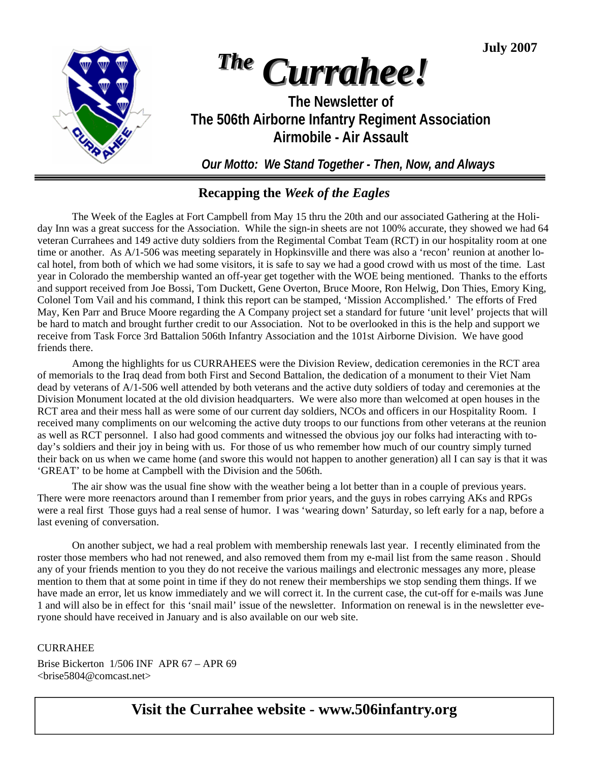**July 2007** 



# *The Currahee!*

**The Newsletter of The 506th Airborne Infantry Regiment Association Airmobile - Air Assault** 

*Our Motto: We Stand Together - Then, Now, and Always* 

### **Recapping the** *Week of the Eagles*

The Week of the Eagles at Fort Campbell from May 15 thru the 20th and our associated Gathering at the Holiday Inn was a great success for the Association. While the sign-in sheets are not 100% accurate, they showed we had 64 veteran Currahees and 149 active duty soldiers from the Regimental Combat Team (RCT) in our hospitality room at one time or another. As A/1-506 was meeting separately in Hopkinsville and there was also a 'recon' reunion at another local hotel, from both of which we had some visitors, it is safe to say we had a good crowd with us most of the time. Last year in Colorado the membership wanted an off-year get together with the WOE being mentioned. Thanks to the efforts and support received from Joe Bossi, Tom Duckett, Gene Overton, Bruce Moore, Ron Helwig, Don Thies, Emory King, Colonel Tom Vail and his command, I think this report can be stamped, 'Mission Accomplished.' The efforts of Fred May, Ken Parr and Bruce Moore regarding the A Company project set a standard for future 'unit level' projects that will be hard to match and brought further credit to our Association. Not to be overlooked in this is the help and support we receive from Task Force 3rd Battalion 506th Infantry Association and the 101st Airborne Division. We have good friends there.

 Among the highlights for us CURRAHEES were the Division Review, dedication ceremonies in the RCT area of memorials to the Iraq dead from both First and Second Battalion, the dedication of a monument to their Viet Nam dead by veterans of A/1-506 well attended by both veterans and the active duty soldiers of today and ceremonies at the Division Monument located at the old division headquarters. We were also more than welcomed at open houses in the RCT area and their mess hall as were some of our current day soldiers, NCOs and officers in our Hospitality Room. I received many compliments on our welcoming the active duty troops to our functions from other veterans at the reunion as well as RCT personnel. I also had good comments and witnessed the obvious joy our folks had interacting with today's soldiers and their joy in being with us. For those of us who remember how much of our country simply turned their back on us when we came home (and swore this would not happen to another generation) all I can say is that it was 'GREAT' to be home at Campbell with the Division and the 506th.

 The air show was the usual fine show with the weather being a lot better than in a couple of previous years. There were more reenactors around than I remember from prior years, and the guys in robes carrying AKs and RPGs were a real first Those guys had a real sense of humor. I was 'wearing down' Saturday, so left early for a nap, before a last evening of conversation.

 On another subject, we had a real problem with membership renewals last year. I recently eliminated from the roster those members who had not renewed, and also removed them from my e-mail list from the same reason . Should any of your friends mention to you they do not receive the various mailings and electronic messages any more, please mention to them that at some point in time if they do not renew their memberships we stop sending them things. If we have made an error, let us know immediately and we will correct it. In the current case, the cut-off for e-mails was June 1 and will also be in effect for this 'snail mail' issue of the newsletter. Information on renewal is in the newsletter everyone should have received in January and is also available on our web site.

### **CURRAHEE**

Brise Bickerton 1/506 INF APR 67 – APR 69 <brise5804@comcast.net>

### **Visit the Currahee website - www.506infantry.org**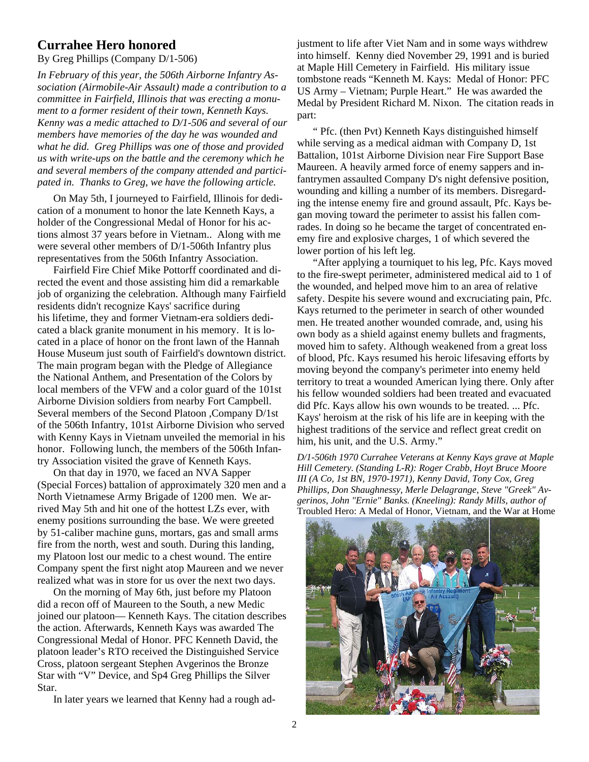### **Currahee Hero honored**

By Greg Phillips (Company D/1-506)

*In February of this year, the 506th Airborne Infantry Association (Airmobile-Air Assault) made a contribution to a committee in Fairfield, Illinois that was erecting a monument to a former resident of their town, Kenneth Kays. Kenny was a medic attached to D/1-506 and several of our members have memories of the day he was wounded and what he did. Greg Phillips was one of those and provided us with write-ups on the battle and the ceremony which he and several members of the company attended and participated in. Thanks to Greg, we have the following article.* 

 On May 5th, I journeyed to Fairfield, Illinois for dedication of a monument to honor the late Kenneth Kays, a holder of the Congressional Medal of Honor for his actions almost 37 years before in Vietnam.. Along with me were several other members of D/1-506th Infantry plus representatives from the 506th Infantry Association.

 Fairfield Fire Chief Mike Pottorff coordinated and directed the event and those assisting him did a remarkable job of organizing the celebration. Although many Fairfield residents didn't recognize Kays' sacrifice during his lifetime, they and former Vietnam-era soldiers dedicated a black granite monument in his memory. It is located in a place of honor on the front lawn of the Hannah House Museum just south of Fairfield's downtown district. The main program began with the Pledge of Allegiance the National Anthem, and Presentation of the Colors by local members of the VFW and a color guard of the 101st Airborne Division soldiers from nearby Fort Campbell. Several members of the Second Platoon ,Company D/1st of the 506th Infantry, 101st Airborne Division who served with Kenny Kays in Vietnam unveiled the memorial in his honor. Following lunch, the members of the 506th Infantry Association visited the grave of Kenneth Kays.

 On that day in 1970, we faced an NVA Sapper (Special Forces) battalion of approximately 320 men and a North Vietnamese Army Brigade of 1200 men. We arrived May 5th and hit one of the hottest LZs ever, with enemy positions surrounding the base. We were greeted by 51-caliber machine guns, mortars, gas and small arms fire from the north, west and south. During this landing, my Platoon lost our medic to a chest wound. The entire Company spent the first night atop Maureen and we never realized what was in store for us over the next two days.

 On the morning of May 6th, just before my Platoon did a recon off of Maureen to the South, a new Medic joined our platoon— Kenneth Kays. The citation describes the action. Afterwards, Kenneth Kays was awarded The Congressional Medal of Honor. PFC Kenneth David, the platoon leader's RTO received the Distinguished Service Cross, platoon sergeant Stephen Avgerinos the Bronze Star with "V" Device, and Sp4 Greg Phillips the Silver Star.

In later years we learned that Kenny had a rough ad-

justment to life after Viet Nam and in some ways withdrew into himself. Kenny died November 29, 1991 and is buried at Maple Hill Cemetery in Fairfield. His military issue tombstone reads "Kenneth M. Kays: Medal of Honor: PFC US Army – Vietnam; Purple Heart." He was awarded the Medal by President Richard M. Nixon. The citation reads in part:

 " Pfc. (then Pvt) Kenneth Kays distinguished himself while serving as a medical aidman with Company D, 1st Battalion, 101st Airborne Division near Fire Support Base Maureen. A heavily armed force of enemy sappers and infantrymen assaulted Company D's night defensive position, wounding and killing a number of its members. Disregarding the intense enemy fire and ground assault, Pfc. Kays began moving toward the perimeter to assist his fallen comrades. In doing so he became the target of concentrated enemy fire and explosive charges, 1 of which severed the lower portion of his left leg.

 "After applying a tourniquet to his leg, Pfc. Kays moved to the fire-swept perimeter, administered medical aid to 1 of the wounded, and helped move him to an area of relative safety. Despite his severe wound and excruciating pain, Pfc. Kays returned to the perimeter in search of other wounded men. He treated another wounded comrade, and, using his own body as a shield against enemy bullets and fragments, moved him to safety. Although weakened from a great loss of blood, Pfc. Kays resumed his heroic lifesaving efforts by moving beyond the company's perimeter into enemy held territory to treat a wounded American lying there. Only after his fellow wounded soldiers had been treated and evacuated did Pfc. Kays allow his own wounds to be treated. ... Pfc. Kays' heroism at the risk of his life are in keeping with the highest traditions of the service and reflect great credit on him, his unit, and the U.S. Army."

*D/1-506th 1970 Currahee Veterans at Kenny Kays grave at Maple Hill Cemetery. (Standing L-R): Roger Crabb, Hoyt Bruce Moore III (A Co, 1st BN, 1970-1971), Kenny David, Tony Cox, Greg Phillips, Don Shaughnessy, Merle Delagrange, Steve "Greek" Avgerinos, John "Ernie" Banks. (Kneeling): Randy Mills, author of*  Troubled Hero: A Medal of Honor, Vietnam, and the War at Home

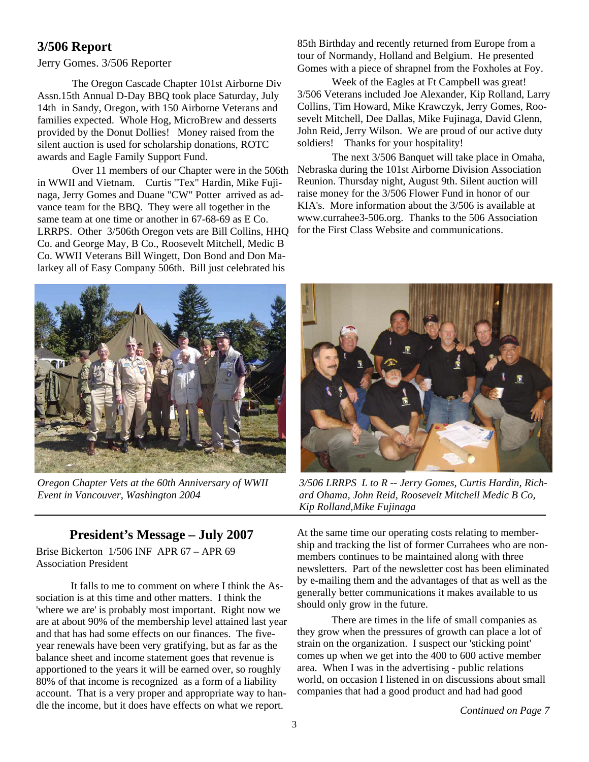### **3/506 Report**

#### Jerry Gomes. 3/506 Reporter

The Oregon Cascade Chapter 101st Airborne Div Assn.15th Annual D-Day BBQ took place Saturday, July 14th in Sandy, Oregon, with 150 Airborne Veterans and families expected. Whole Hog, MicroBrew and desserts provided by the Donut Dollies! Money raised from the silent auction is used for scholarship donations, ROTC awards and Eagle Family Support Fund.

 Over 11 members of our Chapter were in the 506th in WWII and Vietnam. Curtis "Tex" Hardin, Mike Fujinaga, Jerry Gomes and Duane "CW" Potter arrived as advance team for the BBQ. They were all together in the same team at one time or another in 67-68-69 as E Co. LRRPS. Other 3/506th Oregon vets are Bill Collins, HHQ Co. and George May, B Co., Roosevelt Mitchell, Medic B Co. WWII Veterans Bill Wingett, Don Bond and Don Malarkey all of Easy Company 506th. Bill just celebrated his

85th Birthday and recently returned from Europe from a tour of Normandy, Holland and Belgium. He presented Gomes with a piece of shrapnel from the Foxholes at Foy.

 Week of the Eagles at Ft Campbell was great! 3/506 Veterans included Joe Alexander, Kip Rolland, Larry Collins, Tim Howard, Mike Krawczyk, Jerry Gomes, Roosevelt Mitchell, Dee Dallas, Mike Fujinaga, David Glenn, John Reid, Jerry Wilson. We are proud of our active duty soldiers! Thanks for your hospitality!

 The next 3/506 Banquet will take place in Omaha, Nebraska during the 101st Airborne Division Association Reunion. Thursday night, August 9th. Silent auction will raise money for the 3/506 Flower Fund in honor of our KIA's. More information about the 3/506 is available at www.currahee3-506.org. Thanks to the 506 Association for the First Class Website and communications.



*Oregon Chapter Vets at the 60th Anniversary of WWII Event in Vancouver, Washington 2004* 

### **President's Message – July 2007**

Brise Bickerton 1/506 INF APR 67 – APR 69 Association President

 It falls to me to comment on where I think the Association is at this time and other matters. I think the 'where we are' is probably most important. Right now we are at about 90% of the membership level attained last year and that has had some effects on our finances. The fiveyear renewals have been very gratifying, but as far as the balance sheet and income statement goes that revenue is apportioned to the years it will be earned over, so roughly 80% of that income is recognized as a form of a liability account. That is a very proper and appropriate way to handle the income, but it does have effects on what we report.



*3/506 LRRPS L to R -- Jerry Gomes, Curtis Hardin, Richard Ohama, John Reid, Roosevelt Mitchell Medic B Co, Kip Rolland,Mike Fujinaga* 

At the same time our operating costs relating to membership and tracking the list of former Currahees who are nonmembers continues to be maintained along with three newsletters. Part of the newsletter cost has been eliminated by e-mailing them and the advantages of that as well as the generally better communications it makes available to us should only grow in the future.

 There are times in the life of small companies as they grow when the pressures of growth can place a lot of strain on the organization. I suspect our 'sticking point' comes up when we get into the 400 to 600 active member area. When I was in the advertising - public relations world, on occasion I listened in on discussions about small companies that had a good product and had had good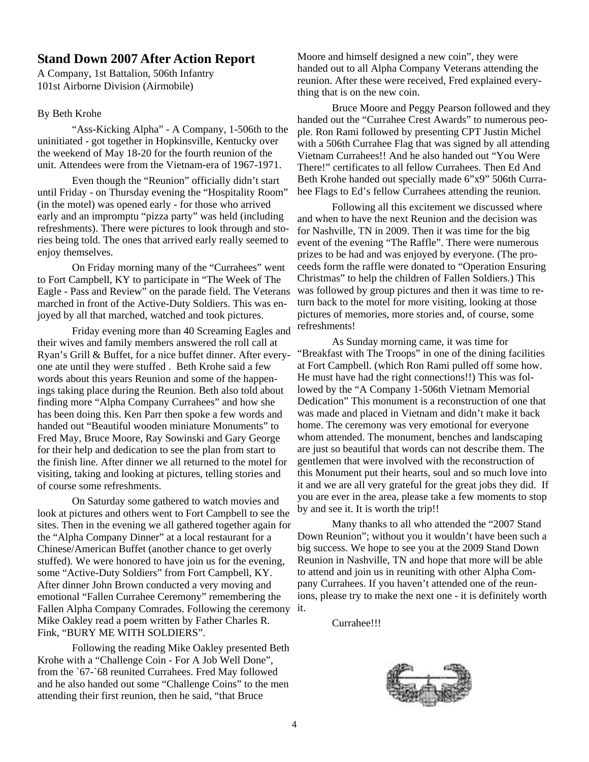### **Stand Down 2007 After Action Report**

A Company, 1st Battalion, 506th Infantry 101st Airborne Division (Airmobile)

#### By Beth Krohe

 "Ass-Kicking Alpha" - A Company, 1-506th to the uninitiated - got together in Hopkinsville, Kentucky over the weekend of May 18-20 for the fourth reunion of the unit. Attendees were from the Vietnam-era of 1967-1971.

 Even though the "Reunion" officially didn't start until Friday - on Thursday evening the "Hospitality Room" (in the motel) was opened early - for those who arrived early and an impromptu "pizza party" was held (including refreshments). There were pictures to look through and stories being told. The ones that arrived early really seemed to enjoy themselves.

 On Friday morning many of the "Currahees" went to Fort Campbell, KY to participate in "The Week of The Eagle - Pass and Review" on the parade field. The Veterans marched in front of the Active-Duty Soldiers. This was enjoyed by all that marched, watched and took pictures.

 Friday evening more than 40 Screaming Eagles and their wives and family members answered the roll call at Ryan's Grill & Buffet, for a nice buffet dinner. After everyone ate until they were stuffed . Beth Krohe said a few words about this years Reunion and some of the happenings taking place during the Reunion. Beth also told about finding more "Alpha Company Currahees" and how she has been doing this. Ken Parr then spoke a few words and handed out "Beautiful wooden miniature Monuments" to Fred May, Bruce Moore, Ray Sowinski and Gary George for their help and dedication to see the plan from start to the finish line. After dinner we all returned to the motel for visiting, taking and looking at pictures, telling stories and of course some refreshments.

 On Saturday some gathered to watch movies and look at pictures and others went to Fort Campbell to see the sites. Then in the evening we all gathered together again for the "Alpha Company Dinner" at a local restaurant for a Chinese/American Buffet (another chance to get overly stuffed). We were honored to have join us for the evening, some "Active-Duty Soldiers" from Fort Campbell, KY. After dinner John Brown conducted a very moving and emotional "Fallen Currahee Ceremony" remembering the Fallen Alpha Company Comrades. Following the ceremony it. Mike Oakley read a poem written by Father Charles R. Fink, "BURY ME WITH SOLDIERS".

 Following the reading Mike Oakley presented Beth Krohe with a "Challenge Coin - For A Job Well Done", from the `67-`68 reunited Currahees. Fred May followed and he also handed out some "Challenge Coins" to the men attending their first reunion, then he said, "that Bruce

Moore and himself designed a new coin", they were handed out to all Alpha Company Veterans attending the reunion. After these were received, Fred explained everything that is on the new coin.

 Bruce Moore and Peggy Pearson followed and they handed out the "Currahee Crest Awards" to numerous people. Ron Rami followed by presenting CPT Justin Michel with a 506th Currahee Flag that was signed by all attending Vietnam Currahees!! And he also handed out "You Were There!" certificates to all fellow Currahees. Then Ed And Beth Krohe handed out specially made 6"x9" 506th Currahee Flags to Ed's fellow Currahees attending the reunion.

 Following all this excitement we discussed where and when to have the next Reunion and the decision was for Nashville, TN in 2009. Then it was time for the big event of the evening "The Raffle". There were numerous prizes to be had and was enjoyed by everyone. (The proceeds form the raffle were donated to "Operation Ensuring Christmas" to help the children of Fallen Soldiers.) This was followed by group pictures and then it was time to return back to the motel for more visiting, looking at those pictures of memories, more stories and, of course, some refreshments!

 As Sunday morning came, it was time for "Breakfast with The Troops" in one of the dining facilities at Fort Campbell. (which Ron Rami pulled off some how. He must have had the right connections!!) This was followed by the "A Company 1-506th Vietnam Memorial Dedication" This monument is a reconstruction of one that was made and placed in Vietnam and didn't make it back home. The ceremony was very emotional for everyone whom attended. The monument, benches and landscaping are just so beautiful that words can not describe them. The gentlemen that were involved with the reconstruction of this Monument put their hearts, soul and so much love into it and we are all very grateful for the great jobs they did. If you are ever in the area, please take a few moments to stop by and see it. It is worth the trip!!

 Many thanks to all who attended the "2007 Stand Down Reunion"; without you it wouldn't have been such a big success. We hope to see you at the 2009 Stand Down Reunion in Nashville, TN and hope that more will be able to attend and join us in reuniting with other Alpha Company Currahees. If you haven't attended one of the reunions, please try to make the next one - it is definitely worth

Currahee!!!

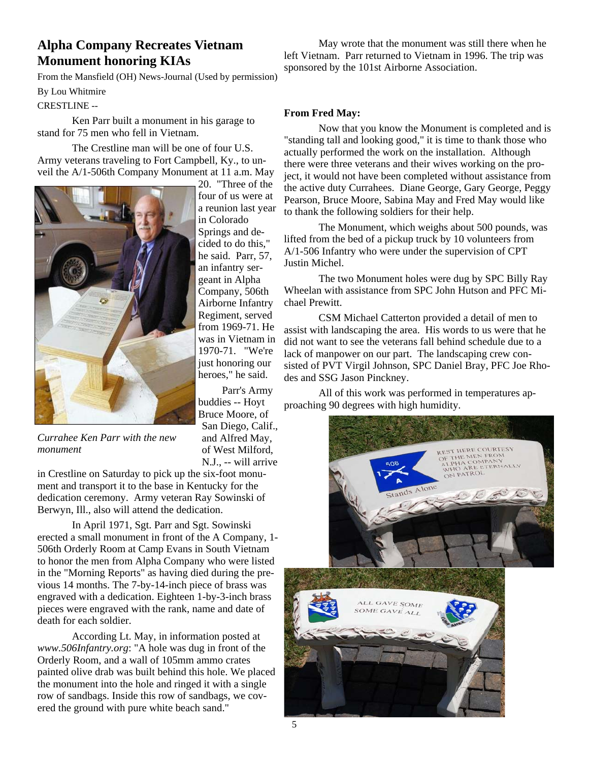### **Alpha Company Recreates Vietnam Monument honoring KIAs**

From the Mansfield (OH) News-Journal (Used by permission)

By Lou Whitmire

CRESTLINE --

 Ken Parr built a monument in his garage to stand for 75 men who fell in Vietnam.

The Crestline man will be one of four U.S. Army veterans traveling to Fort Campbell, Ky., to unveil the A/1-506th Company Monument at 11 a.m. May



*Currahee Ken Parr with the new monument* 

in Crestline on Saturday to pick up the six-foot monument and transport it to the base in Kentucky for the dedication ceremony. Army veteran Ray Sowinski of Berwyn, Ill., also will attend the dedication.

 In April 1971, Sgt. Parr and Sgt. Sowinski erected a small monument in front of the A Company, 1- 506th Orderly Room at Camp Evans in South Vietnam to honor the men from Alpha Company who were listed in the "Morning Reports" as having died during the previous 14 months. The 7-by-14-inch piece of brass was engraved with a dedication. Eighteen 1-by-3-inch brass pieces were engraved with the rank, name and date of death for each soldier.

 According Lt. May, in information posted at *www.506Infantry.org*: "A hole was dug in front of the Orderly Room, and a wall of 105mm ammo crates painted olive drab was built behind this hole. We placed the monument into the hole and ringed it with a single row of sandbags. Inside this row of sandbags, we covered the ground with pure white beach sand."

 May wrote that the monument was still there when he left Vietnam. Parr returned to Vietnam in 1996. The trip was sponsored by the 101st Airborne Association.

#### **From Fred May:**

 Now that you know the Monument is completed and is "standing tall and looking good," it is time to thank those who actually performed the work on the installation. Although there were three veterans and their wives working on the project, it would not have been completed without assistance from the active duty Currahees. Diane George, Gary George, Peggy Pearson, Bruce Moore, Sabina May and Fred May would like to thank the following soldiers for their help.

 The Monument, which weighs about 500 pounds, was lifted from the bed of a pickup truck by 10 volunteers from A/1-506 Infantry who were under the supervision of CPT Justin Michel.

 The two Monument holes were dug by SPC Billy Ray Wheelan with assistance from SPC John Hutson and PFC Michael Prewitt.

 CSM Michael Catterton provided a detail of men to assist with landscaping the area. His words to us were that he did not want to see the veterans fall behind schedule due to a lack of manpower on our part. The landscaping crew consisted of PVT Virgil Johnson, SPC Daniel Bray, PFC Joe Rhodes and SSG Jason Pinckney.

 All of this work was performed in temperatures approaching 90 degrees with high humidity.



Parr's Army

and Alfred May, of West Milford, N.J., -- will arrive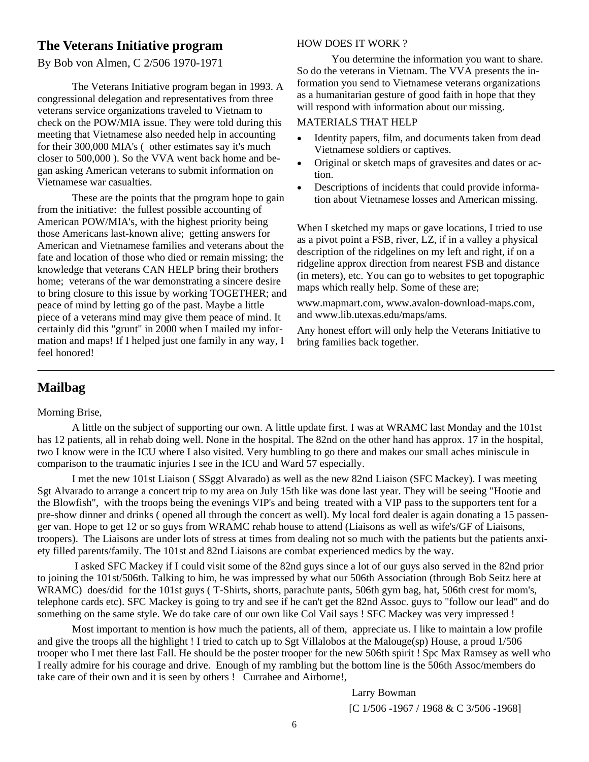### **The Veterans Initiative program**

By Bob von Almen, C 2/506 1970-1971

 The Veterans Initiative program began in 1993. A congressional delegation and representatives from three veterans service organizations traveled to Vietnam to check on the POW/MIA issue. They were told during this meeting that Vietnamese also needed help in accounting for their 300,000 MIA's ( other estimates say it's much closer to 500,000 ). So the VVA went back home and began asking American veterans to submit information on Vietnamese war casualties.

 These are the points that the program hope to gain from the initiative: the fullest possible accounting of American POW/MIA's, with the highest priority being those Americans last-known alive; getting answers for American and Vietnamese families and veterans about the fate and location of those who died or remain missing; the knowledge that veterans CAN HELP bring their brothers home; veterans of the war demonstrating a sincere desire to bring closure to this issue by working TOGETHER; and peace of mind by letting go of the past. Maybe a little piece of a veterans mind may give them peace of mind. It certainly did this "grunt" in 2000 when I mailed my information and maps! If I helped just one family in any way, I feel honored!

#### HOW DOES IT WORK ?

 You determine the information you want to share. So do the veterans in Vietnam. The VVA presents the information you send to Vietnamese veterans organizations as a humanitarian gesture of good faith in hope that they will respond with information about our missing.

#### MATERIALS THAT HELP

- Identity papers, film, and documents taken from dead Vietnamese soldiers or captives.
- Original or sketch maps of gravesites and dates or action.
- Descriptions of incidents that could provide information about Vietnamese losses and American missing.

When I sketched my maps or gave locations, I tried to use as a pivot point a FSB, river, LZ, if in a valley a physical description of the ridgelines on my left and right, if on a ridgeline approx direction from nearest FSB and distance (in meters), etc. You can go to websites to get topographic maps which really help. Some of these are;

www.mapmart.com, www.avalon-download-maps.com, and www.lib.utexas.edu/maps/ams.

Any honest effort will only help the Veterans Initiative to bring families back together.

### **Mailbag**

#### Morning Brise,

 A little on the subject of supporting our own. A little update first. I was at WRAMC last Monday and the 101st has 12 patients, all in rehab doing well. None in the hospital. The 82nd on the other hand has approx. 17 in the hospital, two I know were in the ICU where I also visited. Very humbling to go there and makes our small aches miniscule in comparison to the traumatic injuries I see in the ICU and Ward 57 especially.

 I met the new 101st Liaison ( SSggt Alvarado) as well as the new 82nd Liaison (SFC Mackey). I was meeting Sgt Alvarado to arrange a concert trip to my area on July 15th like was done last year. They will be seeing "Hootie and the Blowfish", with the troops being the evenings VIP's and being treated with a VIP pass to the supporters tent for a pre-show dinner and drinks ( opened all through the concert as well). My local ford dealer is again donating a 15 passenger van. Hope to get 12 or so guys from WRAMC rehab house to attend (Liaisons as well as wife's/GF of Liaisons, troopers). The Liaisons are under lots of stress at times from dealing not so much with the patients but the patients anxiety filled parents/family. The 101st and 82nd Liaisons are combat experienced medics by the way.

 I asked SFC Mackey if I could visit some of the 82nd guys since a lot of our guys also served in the 82nd prior to joining the 101st/506th. Talking to him, he was impressed by what our 506th Association (through Bob Seitz here at WRAMC) does/did for the 101st guys (T-Shirts, shorts, parachute pants, 506th gym bag, hat, 506th crest for mom's, telephone cards etc). SFC Mackey is going to try and see if he can't get the 82nd Assoc. guys to "follow our lead" and do something on the same style. We do take care of our own like Col Vail says ! SFC Mackey was very impressed !

 Most important to mention is how much the patients, all of them, appreciate us. I like to maintain a low profile and give the troops all the highlight ! I tried to catch up to Sgt Villalobos at the Malouge(sp) House, a proud 1/506 trooper who I met there last Fall. He should be the poster trooper for the new 506th spirit ! Spc Max Ramsey as well who I really admire for his courage and drive. Enough of my rambling but the bottom line is the 506th Assoc/members do take care of their own and it is seen by others ! Currahee and Airborne!,

Larry Bowman

[C 1/506 -1967 / 1968 & C 3/506 -1968]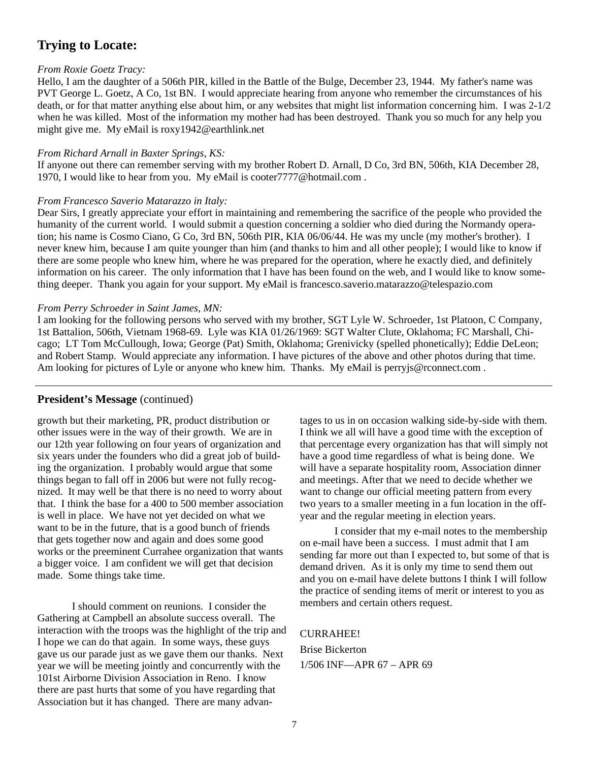### **Trying to Locate:**

#### *From Roxie Goetz Tracy:*

Hello, I am the daughter of a 506th PIR, killed in the Battle of the Bulge, December 23, 1944. My father's name was PVT George L. Goetz, A Co, 1st BN. I would appreciate hearing from anyone who remember the circumstances of his death, or for that matter anything else about him, or any websites that might list information concerning him. I was 2-1/2 when he was killed. Most of the information my mother had has been destroyed. Thank you so much for any help you might give me. My eMail is roxy1942@earthlink.net

#### *From Richard Arnall in Baxter Springs, KS:*

If anyone out there can remember serving with my brother Robert D. Arnall, D Co, 3rd BN, 506th, KIA December 28, 1970, I would like to hear from you. My eMail is cooter7777@hotmail.com .

#### *From Francesco Saverio Matarazzo in Italy:*

Dear Sirs, I greatly appreciate your effort in maintaining and remembering the sacrifice of the people who provided the humanity of the current world. I would submit a question concerning a soldier who died during the Normandy operation; his name is Cosmo Ciano, G Co, 3rd BN, 506th PIR, KIA 06/06/44. He was my uncle (my mother's brother). I never knew him, because I am quite younger than him (and thanks to him and all other people); I would like to know if there are some people who knew him, where he was prepared for the operation, where he exactly died, and definitely information on his career. The only information that I have has been found on the web, and I would like to know something deeper. Thank you again for your support. My eMail is francesco.saverio.matarazzo@telespazio.com

#### *From Perry Schroeder in Saint James, MN:*

I am looking for the following persons who served with my brother, SGT Lyle W. Schroeder, 1st Platoon, C Company, 1st Battalion, 506th, Vietnam 1968-69. Lyle was KIA 01/26/1969: SGT Walter Clute, Oklahoma; FC Marshall, Chicago; LT Tom McCullough, Iowa; George (Pat) Smith, Oklahoma; Grenivicky (spelled phonetically); Eddie DeLeon; and Robert Stamp. Would appreciate any information. I have pictures of the above and other photos during that time. Am looking for pictures of Lyle or anyone who knew him. Thanks. My eMail is perryjs@rconnect.com.

### **President's Message** (continued)

growth but their marketing, PR, product distribution or other issues were in the way of their growth. We are in our 12th year following on four years of organization and six years under the founders who did a great job of building the organization. I probably would argue that some things began to fall off in 2006 but were not fully recognized. It may well be that there is no need to worry about that. I think the base for a 400 to 500 member association is well in place. We have not yet decided on what we want to be in the future, that is a good bunch of friends that gets together now and again and does some good works or the preeminent Currahee organization that wants a bigger voice. I am confident we will get that decision made. Some things take time.

 I should comment on reunions. I consider the Gathering at Campbell an absolute success overall. The interaction with the troops was the highlight of the trip and I hope we can do that again. In some ways, these guys gave us our parade just as we gave them our thanks. Next year we will be meeting jointly and concurrently with the 101st Airborne Division Association in Reno. I know there are past hurts that some of you have regarding that Association but it has changed. There are many advan-

tages to us in on occasion walking side-by-side with them. I think we all will have a good time with the exception of that percentage every organization has that will simply not have a good time regardless of what is being done. We will have a separate hospitality room, Association dinner and meetings. After that we need to decide whether we want to change our official meeting pattern from every two years to a smaller meeting in a fun location in the offyear and the regular meeting in election years.

 I consider that my e-mail notes to the membership on e-mail have been a success. I must admit that I am sending far more out than I expected to, but some of that is demand driven. As it is only my time to send them out and you on e-mail have delete buttons I think I will follow the practice of sending items of merit or interest to you as members and certain others request.

#### CURRAHEE!

Brise Bickerton 1/506 INF—APR 67 – APR 69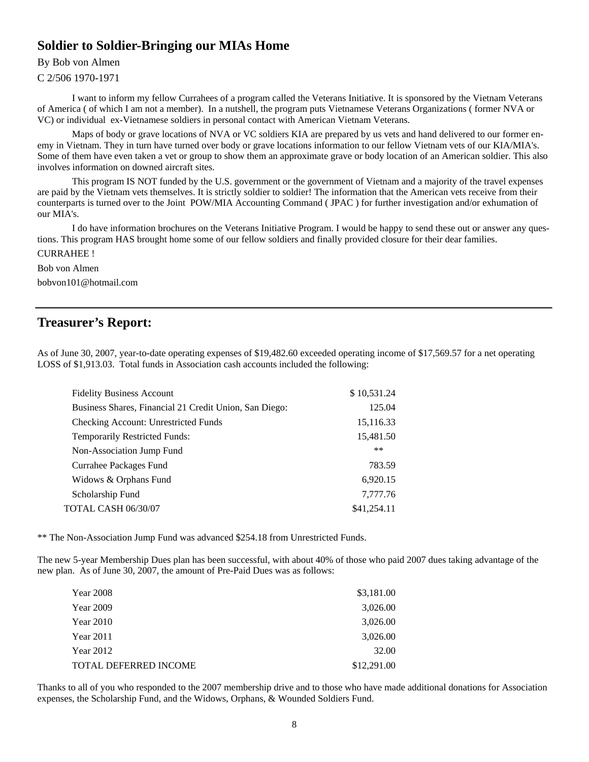### **Soldier to Soldier-Bringing our MIAs Home**

### By Bob von Almen

C 2/506 1970-1971

 I want to inform my fellow Currahees of a program called the Veterans Initiative. It is sponsored by the Vietnam Veterans of America ( of which I am not a member). In a nutshell, the program puts Vietnamese Veterans Organizations ( former NVA or VC) or individual ex-Vietnamese soldiers in personal contact with American Vietnam Veterans.

 Maps of body or grave locations of NVA or VC soldiers KIA are prepared by us vets and hand delivered to our former enemy in Vietnam. They in turn have turned over body or grave locations information to our fellow Vietnam vets of our KIA/MIA's. Some of them have even taken a vet or group to show them an approximate grave or body location of an American soldier. This also involves information on downed aircraft sites.

 This program IS NOT funded by the U.S. government or the government of Vietnam and a majority of the travel expenses are paid by the Vietnam vets themselves. It is strictly soldier to soldier! The information that the American vets receive from their counterparts is turned over to the Joint POW/MIA Accounting Command ( JPAC ) for further investigation and/or exhumation of our MIA's.

 I do have information brochures on the Veterans Initiative Program. I would be happy to send these out or answer any questions. This program HAS brought home some of our fellow soldiers and finally provided closure for their dear families. CURRAHEE !

Bob von Almen

bobvon101@hotmail.com

### **Treasurer's Report:**

As of June 30, 2007, year-to-date operating expenses of \$19,482.60 exceeded operating income of \$17,569.57 for a net operating LOSS of \$1,913.03. Total funds in Association cash accounts included the following:

| <b>Fidelity Business Account</b>                       | \$10,531.24 |
|--------------------------------------------------------|-------------|
| Business Shares, Financial 21 Credit Union, San Diego: | 125.04      |
| Checking Account: Unrestricted Funds                   | 15,116.33   |
| Temporarily Restricted Funds:                          | 15,481.50   |
| Non-Association Jump Fund                              | $***$       |
| Currahee Packages Fund                                 | 783.59      |
| Widows & Orphans Fund                                  | 6,920.15    |
| Scholarship Fund                                       | 7,777.76    |
| <b>TOTAL CASH 06/30/07</b>                             | \$41,254.11 |

\*\* The Non-Association Jump Fund was advanced \$254.18 from Unrestricted Funds.

The new 5-year Membership Dues plan has been successful, with about 40% of those who paid 2007 dues taking advantage of the new plan. As of June 30, 2007, the amount of Pre-Paid Dues was as follows:

| <b>Year 2008</b>             | \$3,181.00  |
|------------------------------|-------------|
| <b>Year 2009</b>             | 3,026.00    |
| <b>Year 2010</b>             | 3,026.00    |
| <b>Year 2011</b>             | 3,026.00    |
| <b>Year 2012</b>             | 32.00       |
| <b>TOTAL DEFERRED INCOME</b> | \$12,291.00 |

Thanks to all of you who responded to the 2007 membership drive and to those who have made additional donations for Association expenses, the Scholarship Fund, and the Widows, Orphans, & Wounded Soldiers Fund.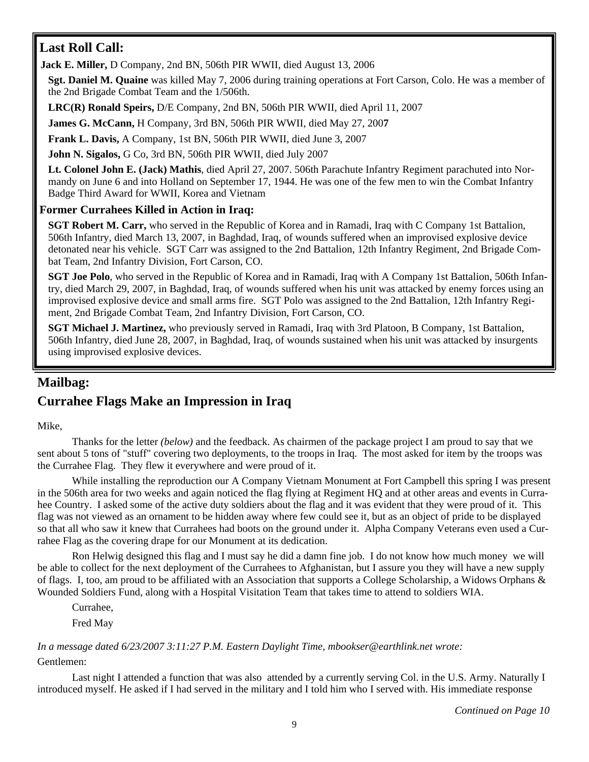### **Last Roll Call:**

**Jack E. Miller,** D Company, 2nd BN, 506th PIR WWII, died August 13, 2006

**Sgt. Daniel M. Quaine** was killed May 7, 2006 during training operations at Fort Carson, Colo. He was a member of the 2nd Brigade Combat Team and the 1/506th.

**LRC(R) Ronald Speirs,** D/E Company, 2nd BN, 506th PIR WWII, died April 11, 2007

**James G. McCann,** H Company, 3rd BN, 506th PIR WWII, died May 27, 200**7** 

**Frank L. Davis,** A Company, 1st BN, 506th PIR WWII, died June 3, 2007

**John N. Sigalos,** G Co, 3rd BN, 506th PIR WWII, died July 2007

**Lt. Colonel John E. (Jack) Mathis**, died April 27, 2007. 506th Parachute Infantry Regiment parachuted into Normandy on June 6 and into Holland on September 17, 1944. He was one of the few men to win the Combat Infantry Badge Third Award for WWII, Korea and Vietnam

### **Former Currahees Killed in Action in Iraq:**

**SGT Robert M. Carr,** who served in the Republic of Korea and in Ramadi, Iraq with C Company 1st Battalion, 506th Infantry, died March 13, 2007, in Baghdad, Iraq, of wounds suffered when an improvised explosive device detonated near his vehicle. SGT Carr was assigned to the 2nd Battalion, 12th Infantry Regiment, 2nd Brigade Combat Team, 2nd Infantry Division, Fort Carson, CO.

**SGT Joe Polo**, who served in the Republic of Korea and in Ramadi, Iraq with A Company 1st Battalion, 506th Infantry, died March 29, 2007, in Baghdad, Iraq, of wounds suffered when his unit was attacked by enemy forces using an improvised explosive device and small arms fire. SGT Polo was assigned to the 2nd Battalion, 12th Infantry Regiment, 2nd Brigade Combat Team, 2nd Infantry Division, Fort Carson, CO.

**SGT Michael J. Martinez,** who previously served in Ramadi, Iraq with 3rd Platoon, B Company, 1st Battalion, 506th Infantry, died June 28, 2007, in Baghdad, Iraq, of wounds sustained when his unit was attacked by insurgents using improvised explosive devices.

### **Mailbag: Currahee Flags Make an Impression in Iraq**

Mike,

 Thanks for the letter *(below)* and the feedback. As chairmen of the package project I am proud to say that we sent about 5 tons of "stuff" covering two deployments, to the troops in Iraq. The most asked for item by the troops was the Currahee Flag. They flew it everywhere and were proud of it.

While installing the reproduction our A Company Vietnam Monument at Fort Campbell this spring I was present in the 506th area for two weeks and again noticed the flag flying at Regiment HQ and at other areas and events in Currahee Country. I asked some of the active duty soldiers about the flag and it was evident that they were proud of it. This flag was not viewed as an ornament to be hidden away where few could see it, but as an object of pride to be displayed so that all who saw it knew that Currahees had boots on the ground under it. Alpha Company Veterans even used a Currahee Flag as the covering drape for our Monument at its dedication.

 Ron Helwig designed this flag and I must say he did a damn fine job. I do not know how much money we will be able to collect for the next deployment of the Currahees to Afghanistan, but I assure you they will have a new supply of flags. I, too, am proud to be affiliated with an Association that supports a College Scholarship, a Widows Orphans  $\&$ Wounded Soldiers Fund, along with a Hospital Visitation Team that takes time to attend to soldiers WIA.

Currahee,

Fred May

*In a message dated 6/23/2007 3:11:27 P.M. Eastern Daylight Time, mbookser@earthlink.net wrote:*  Gentlemen:

 Last night I attended a function that was also attended by a currently serving Col. in the U.S. Army. Naturally I introduced myself. He asked if I had served in the military and I told him who I served with. His immediate response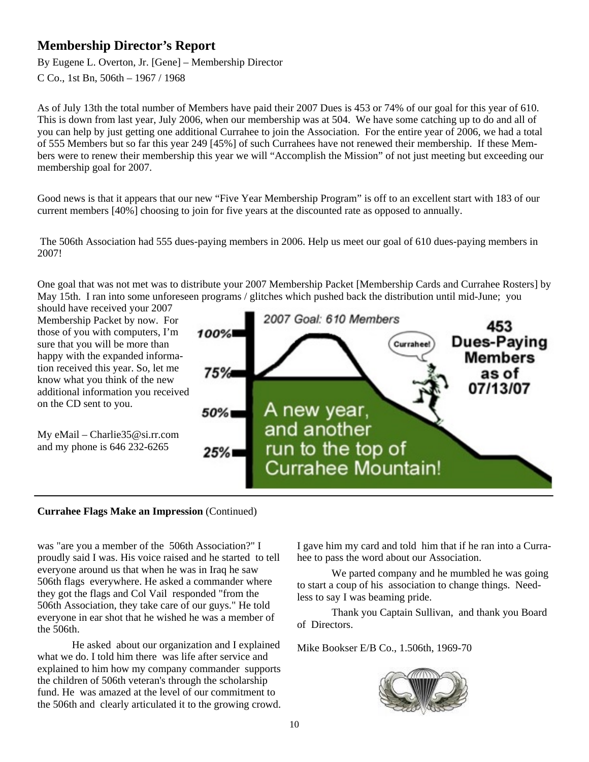### **Membership Director's Report**

By Eugene L. Overton, Jr. [Gene] – Membership Director

C Co., 1st Bn, 506th – 1967 / 1968

As of July 13th the total number of Members have paid their 2007 Dues is 453 or 74% of our goal for this year of 610. This is down from last year, July 2006, when our membership was at 504. We have some catching up to do and all of you can help by just getting one additional Currahee to join the Association. For the entire year of 2006, we had a total of 555 Members but so far this year 249 [45%] of such Currahees have not renewed their membership. If these Members were to renew their membership this year we will "Accomplish the Mission" of not just meeting but exceeding our membership goal for 2007.

Good news is that it appears that our new "Five Year Membership Program" is off to an excellent start with 183 of our current members [40%] choosing to join for five years at the discounted rate as opposed to annually.

 The 506th Association had 555 dues-paying members in 2006. Help us meet our goal of 610 dues-paying members in 2007!

One goal that was not met was to distribute your 2007 Membership Packet [Membership Cards and Currahee Rosters] by May 15th. I ran into some unforeseen programs / glitches which pushed back the distribution until mid-June; you



### **Currahee Flags Make an Impression** (Continued)

was "are you a member of the 506th Association?" I proudly said I was. His voice raised and he started to tell everyone around us that when he was in Iraq he saw 506th flags everywhere. He asked a commander where they got the flags and Col Vail responded "from the 506th Association, they take care of our guys." He told everyone in ear shot that he wished he was a member of the 506th.

 He asked about our organization and I explained what we do. I told him there was life after service and explained to him how my company commander supports the children of 506th veteran's through the scholarship fund. He was amazed at the level of our commitment to the 506th and clearly articulated it to the growing crowd. I gave him my card and told him that if he ran into a Currahee to pass the word about our Association.

 We parted company and he mumbled he was going to start a coup of his association to change things. Needless to say I was beaming pride.

 Thank you Captain Sullivan, and thank you Board of Directors.

Mike Bookser E/B Co., 1.506th, 1969-70

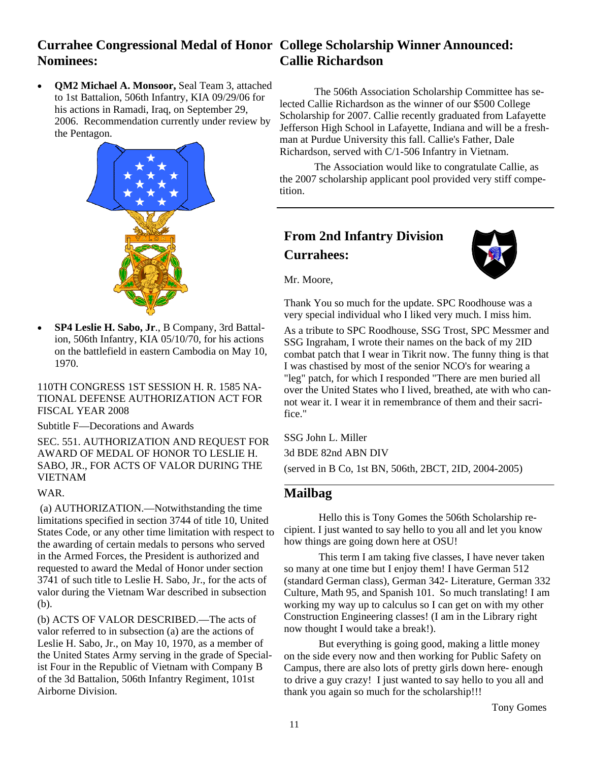#### **Currahee Congressional Medal of Honor College Scholarship Winner Announced: Nominees: Callie Richardson**

• **QM2 Michael A. Monsoor,** Seal Team 3, attached to 1st Battalion, 506th Infantry, KIA 09/29/06 for his actions in Ramadi, Iraq, on September 29, 2006. Recommendation currently under review by the Pentagon.



• **SP4 Leslie H. Sabo, Jr**., B Company, 3rd Battalion, 506th Infantry, KIA 05/10/70, for his actions on the battlefield in eastern Cambodia on May 10, 1970.

110TH CONGRESS 1ST SESSION H. R. 1585 NA-TIONAL DEFENSE AUTHORIZATION ACT FOR FISCAL YEAR 2008

Subtitle F—Decorations and Awards

SEC. 551. AUTHORIZATION AND REQUEST FOR AWARD OF MEDAL OF HONOR TO LESLIE H. SABO, JR., FOR ACTS OF VALOR DURING THE VIETNAM

#### WAR.

 (a) AUTHORIZATION.—Notwithstanding the time limitations specified in section 3744 of title 10, United States Code, or any other time limitation with respect to the awarding of certain medals to persons who served in the Armed Forces, the President is authorized and requested to award the Medal of Honor under section 3741 of such title to Leslie H. Sabo, Jr., for the acts of valor during the Vietnam War described in subsection (b).

(b) ACTS OF VALOR DESCRIBED.—The acts of valor referred to in subsection (a) are the actions of Leslie H. Sabo, Jr., on May 10, 1970, as a member of the United States Army serving in the grade of Specialist Four in the Republic of Vietnam with Company B of the 3d Battalion, 506th Infantry Regiment, 101st Airborne Division.

 The 506th Association Scholarship Committee has selected Callie Richardson as the winner of our \$500 College Scholarship for 2007. Callie recently graduated from Lafayette Jefferson High School in Lafayette, Indiana and will be a freshman at Purdue University this fall. Callie's Father, Dale Richardson, served with C/1-506 Infantry in Vietnam.

 The Association would like to congratulate Callie, as the 2007 scholarship applicant pool provided very stiff competition.

### **From 2nd Infantry Division Currahees:**



Mr. Moore,

Thank You so much for the update. SPC Roodhouse was a very special individual who I liked very much. I miss him.

As a tribute to SPC Roodhouse, SSG Trost, SPC Messmer and SSG Ingraham, I wrote their names on the back of my 2ID combat patch that I wear in Tikrit now. The funny thing is that I was chastised by most of the senior NCO's for wearing a "leg" patch, for which I responded "There are men buried all over the United States who I lived, breathed, ate with who cannot wear it. I wear it in remembrance of them and their sacrifice."

SSG John L. Miller 3d BDE 82nd ABN DIV (served in B Co, 1st BN, 506th, 2BCT, 2ID, 2004-2005)

### **Mailbag**

 Hello this is Tony Gomes the 506th Scholarship recipient. I just wanted to say hello to you all and let you know how things are going down here at OSU!

 This term I am taking five classes, I have never taken so many at one time but I enjoy them! I have German 512 (standard German class), German 342- Literature, German 332 Culture, Math 95, and Spanish 101. So much translating! I am working my way up to calculus so I can get on with my other Construction Engineering classes! (I am in the Library right now thought I would take a break!).

 But everything is going good, making a little money on the side every now and then working for Public Safety on Campus, there are also lots of pretty girls down here- enough to drive a guy crazy! I just wanted to say hello to you all and thank you again so much for the scholarship!!!

Tony Gomes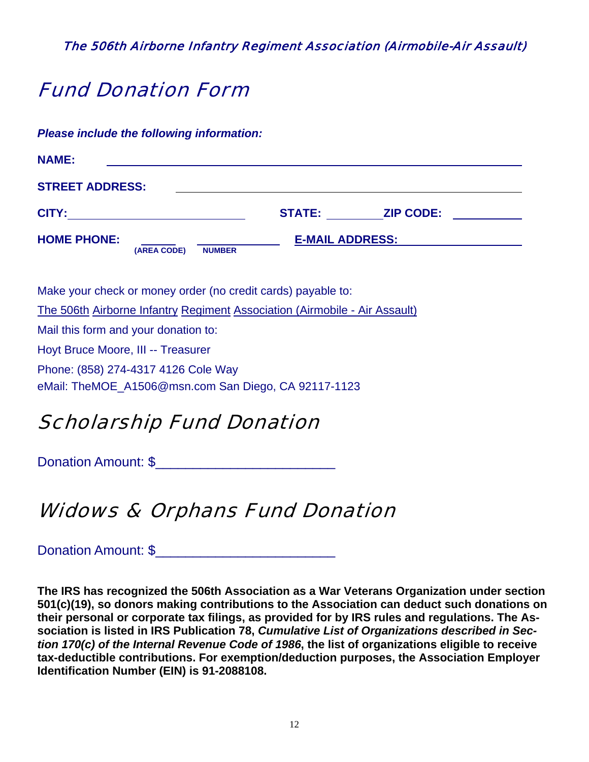The 506th Airborne Infantry Regiment Association (Airmobile-Air Assault)

# Fund Donation Form

*Please include the following information:*

| <b>NAME:</b>                      |               |                        |                  |  |
|-----------------------------------|---------------|------------------------|------------------|--|
| <b>STREET ADDRESS:</b>            |               |                        |                  |  |
| CITY:                             |               | <b>STATE:</b>          | <b>ZIP CODE:</b> |  |
| <b>HOME PHONE:</b><br>(AREA CODE) | <b>NUMBER</b> | <b>E-MAIL ADDRESS:</b> |                  |  |

Make your check or money order (no credit cards) payable to: The 506th Airborne Infantry Regiment Association (Airmobile - Air Assault) Mail this form and your donation to: Hoyt Bruce Moore, III -- Treasurer Phone: (858) 274-4317 4126 Cole Way eMail: TheMOE\_A1506@msn.com San Diego, CA 92117-1123

# Scholarship Fund Donation

Donation Amount: \$\_\_\_\_\_\_\_\_\_\_\_\_\_\_\_\_\_\_\_\_\_\_\_\_

# Widows & Orphans Fund Donation

Donation Amount: \$

**The IRS has recognized the 506th Association as a War Veterans Organization under section 501(c)(19), so donors making contributions to the Association can deduct such donations on their personal or corporate tax filings, as provided for by IRS rules and regulations. The Association is listed in IRS Publication 78,** *Cumulative List of Organizations described in Section 170(c) of the Internal Revenue Code of 1986***, the list of organizations eligible to receive tax-deductible contributions. For exemption/deduction purposes, the Association Employer Identification Number (EIN) is 91-2088108.**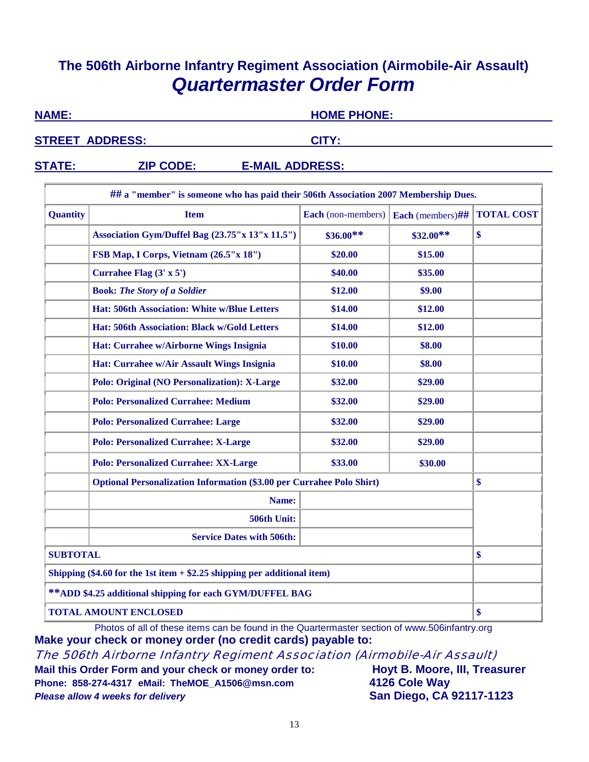### **The 506th Airborne Infantry Regiment Association (Airmobile-Air Assault)**  *Quartermaster Order Form*

| <b>NAME:</b>           | <b>HOME PHONE:</b> |
|------------------------|--------------------|
| <b>STREET ADDRESS:</b> | CITY:              |
|                        |                    |

### **STATE: ZIP CODE: E-MAIL ADDRESS:**

| ## a "member" is someone who has paid their 506th Association 2007 Membership Dues. |                                                                              |                                        |            |                   |
|-------------------------------------------------------------------------------------|------------------------------------------------------------------------------|----------------------------------------|------------|-------------------|
| <b>Quantity</b>                                                                     | <b>Item</b>                                                                  | Each (non-members)<br>Each (members)## |            | <b>TOTAL COST</b> |
|                                                                                     | Association Gym/Duffel Bag (23.75"x 13"x 11.5")                              | $$36.00**$                             | $$32.00**$ | \$                |
|                                                                                     | FSB Map, I Corps, Vietnam (26.5"x 18")                                       | \$20.00                                | \$15.00    |                   |
|                                                                                     | Currahee Flag $(3' \times 5')$                                               | \$40.00                                | \$35.00    |                   |
|                                                                                     | <b>Book: The Story of a Soldier</b>                                          | \$12.00                                | \$9.00     |                   |
|                                                                                     | Hat: 506th Association: White w/Blue Letters                                 | \$14.00                                | \$12.00    |                   |
|                                                                                     | Hat: 506th Association: Black w/Gold Letters                                 | \$14.00                                | \$12.00    |                   |
|                                                                                     | Hat: Currahee w/Airborne Wings Insignia                                      | \$10.00                                | \$8.00     |                   |
|                                                                                     | Hat: Currahee w/Air Assault Wings Insignia                                   | \$10.00                                | \$8.00     |                   |
|                                                                                     | <b>Polo: Original (NO Personalization): X-Large</b>                          | \$32.00                                | \$29.00    |                   |
|                                                                                     | <b>Polo: Personalized Currahee: Medium</b>                                   | \$32.00                                | \$29.00    |                   |
|                                                                                     | <b>Polo: Personalized Currahee: Large</b>                                    | \$32.00                                | \$29.00    |                   |
|                                                                                     | <b>Polo: Personalized Currahee: X-Large</b><br>\$32.00<br>\$29.00            |                                        |            |                   |
|                                                                                     | <b>Polo: Personalized Currahee: XX-Large</b>                                 | \$33.00                                | \$30.00    |                   |
|                                                                                     | <b>Optional Personalization Information (\$3.00 per Currahee Polo Shirt)</b> |                                        |            | \$                |
|                                                                                     | Name:                                                                        |                                        |            |                   |
|                                                                                     | 506th Unit:                                                                  |                                        |            |                   |
|                                                                                     | <b>Service Dates with 506th:</b>                                             |                                        |            |                   |
| <b>SUBTOTAL</b>                                                                     |                                                                              |                                        |            | \$                |
| Shipping $(\$4.60$ for the 1st item $+ \$2.25$ shipping per additional item)        |                                                                              |                                        |            |                   |
| ** ADD \$4.25 additional shipping for each GYM/DUFFEL BAG                           |                                                                              |                                        |            |                   |
| <b>TOTAL AMOUNT ENCLOSED</b>                                                        |                                                                              |                                        |            | \$                |

Photos of all of these items can be found in the Quartermaster section of www.506infantry.org **Make your check or money order (no credit cards) payable to:**

The 506th Airborne Infantry Regiment Association (Airmobile-Air Assault)

**Mail this Order Form and your check or money order to: Hoyt B. Moore, III, Treasurer Phone: 858-274-4317 eMail: TheMOE\_A1506@msn.com 4126 Cole Way** *Please allow 4 weeks for delivery* **San Diego, CA 92117-1123**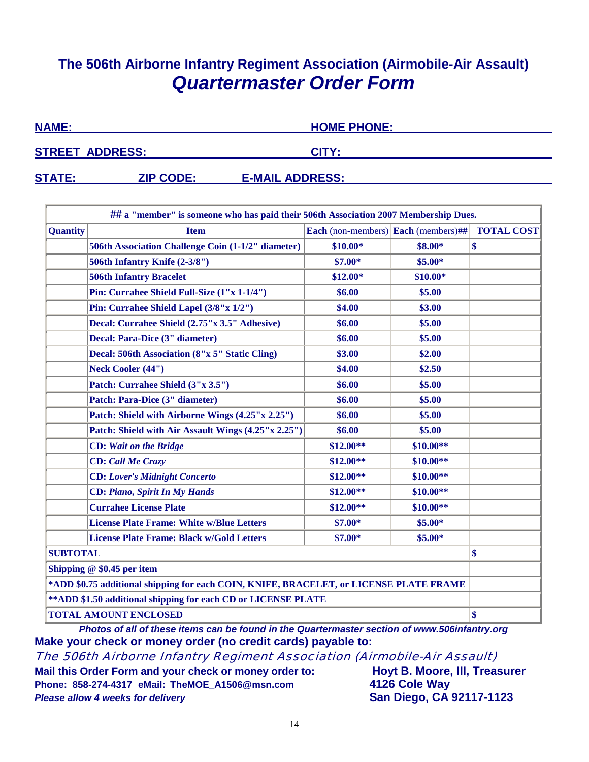### **The 506th Airborne Infantry Regiment Association (Airmobile-Air Assault)** *Quartermaster Order Form*

| <b>NAME:</b>           |                  | <b>HOME PHONE:</b>     |  |
|------------------------|------------------|------------------------|--|
| <b>STREET ADDRESS:</b> |                  | CITY:                  |  |
| <b>STATE:</b>          | <b>ZIP CODE:</b> | <b>E-MAIL ADDRESS:</b> |  |

| ## a "member" is someone who has paid their 506th Association 2007 Membership Dues.    |                                                           |                                                                  |            |    |  |
|----------------------------------------------------------------------------------------|-----------------------------------------------------------|------------------------------------------------------------------|------------|----|--|
| <b>Quantity</b>                                                                        | <b>Item</b>                                               | Each (non-members) $\vert$ Each (members)##<br><b>TOTAL COST</b> |            |    |  |
|                                                                                        | 506th Association Challenge Coin (1-1/2" diameter)        | $$10.00*$                                                        | \$8.00*    | \$ |  |
|                                                                                        | 506th Infantry Knife (2-3/8")                             | $$7.00*$                                                         | $$5.00*$   |    |  |
|                                                                                        | <b>506th Infantry Bracelet</b>                            | $$12.00*$                                                        | $$10.00*$  |    |  |
|                                                                                        | Pin: Currahee Shield Full-Size (1"x 1-1/4")               | \$6.00                                                           | \$5.00     |    |  |
|                                                                                        | Pin: Currahee Shield Lapel (3/8"x 1/2")                   | \$4.00                                                           | \$3.00     |    |  |
|                                                                                        | Decal: Currahee Shield (2.75"x 3.5" Adhesive)             | \$6.00                                                           | \$5.00     |    |  |
|                                                                                        | Decal: Para-Dice (3" diameter)                            | \$6.00                                                           | \$5.00     |    |  |
|                                                                                        | Decal: 506th Association (8"x 5" Static Cling)            | \$3.00                                                           | \$2.00     |    |  |
|                                                                                        | <b>Neck Cooler (44")</b>                                  | \$4.00                                                           | \$2.50     |    |  |
|                                                                                        | Patch: Currahee Shield (3"x 3.5")                         | \$6.00                                                           | \$5.00     |    |  |
|                                                                                        | Patch: Para-Dice (3" diameter)                            | \$6.00                                                           | \$5.00     |    |  |
|                                                                                        | Patch: Shield with Airborne Wings (4.25"x 2.25")          | \$6.00                                                           | \$5.00     |    |  |
|                                                                                        | Patch: Shield with Air Assault Wings (4.25"x 2.25")       | \$6.00                                                           | \$5.00     |    |  |
|                                                                                        | $$12.00**$<br>$$10.00**$<br><b>CD:</b> Wait on the Bridge |                                                                  |            |    |  |
|                                                                                        | <b>CD</b> : Call Me Crazy                                 | $$12.00**$                                                       | $$10.00**$ |    |  |
|                                                                                        | <b>CD:</b> Lover's Midnight Concerto                      | $$12.00**$                                                       | $$10.00**$ |    |  |
|                                                                                        | <b>CD: Piano, Spirit In My Hands</b>                      | $$12.00**$                                                       | $$10.00**$ |    |  |
|                                                                                        | <b>Currahee License Plate</b>                             | $$12.00**$                                                       | $$10.00**$ |    |  |
|                                                                                        | <b>License Plate Frame: White w/Blue Letters</b>          | $$7.00*$                                                         | $$5.00*$   |    |  |
|                                                                                        | <b>License Plate Frame: Black w/Gold Letters</b>          | $$7.00*$                                                         | $$5.00*$   |    |  |
| <b>SUBTOTAL</b>                                                                        |                                                           |                                                                  |            | \$ |  |
| Shipping $@$ \$0.45 per item                                                           |                                                           |                                                                  |            |    |  |
| *ADD \$0.75 additional shipping for each COIN, KNIFE, BRACELET, or LICENSE PLATE FRAME |                                                           |                                                                  |            |    |  |
| ** ADD \$1.50 additional shipping for each CD or LICENSE PLATE                         |                                                           |                                                                  |            |    |  |
| <b>TOTAL AMOUNT ENCLOSED</b>                                                           |                                                           |                                                                  |            | \$ |  |

*Photos of all of these items can be found in the Quartermaster section of www.506infantry.org*  **Make your check or money order (no credit cards) payable to:**

The 506th Airborne Infantry Regiment Association (Airmobile-Air Assault)

Mail this Order Form and your check or money order to: **Hoyt B. Moore, III, Treasurer Phone: 858-274-4317 eMail: TheMOE\_A1506@msn.com 4126 Cole Way** *Please allow 4 weeks for delivery* **San Diego, CA 92117-1123**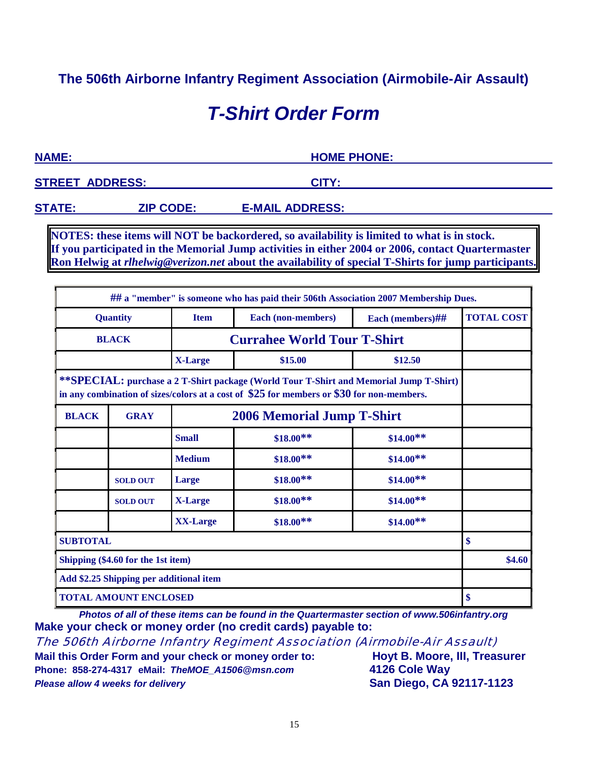### **The 506th Airborne Infantry Regiment Association (Airmobile-Air Assault)**

# *T-Shirt Order Form*

**NAME: HOME PHONE:**

**STREET ADDRESS: CITY:** 

**STATE: ZIP CODE: E-MAIL ADDRESS:** 

**NOTES: these items will NOT be backordered, so availability is limited to what is in stock. If you participated in the Memorial Jump activities in either 2004 or 2006, contact Quartermaster Ron Helwig at** *rlhelwig@verizon.net* **about the availability of special T-Shirts for jump participants.**

|                                                                                                                                                                                       |                 |                                                       | ## a "member" is someone who has paid their 506th Association 2007 Membership Dues. |                   |    |
|---------------------------------------------------------------------------------------------------------------------------------------------------------------------------------------|-----------------|-------------------------------------------------------|-------------------------------------------------------------------------------------|-------------------|----|
|                                                                                                                                                                                       | <b>Quantity</b> | Each (non-members)<br><b>Item</b><br>Each (members)## |                                                                                     | <b>TOTAL COST</b> |    |
| <b>BLACK</b>                                                                                                                                                                          |                 |                                                       | <b>Currahee World Tour T-Shirt</b>                                                  |                   |    |
|                                                                                                                                                                                       |                 | <b>X-Large</b>                                        | \$15.00<br>\$12.50                                                                  |                   |    |
| **SPECIAL: purchase a 2 T-Shirt package (World Tour T-Shirt and Memorial Jump T-Shirt)<br>in any combination of sizes/colors at a cost of $$25$ for members or $$30$ for non-members. |                 |                                                       |                                                                                     |                   |    |
| <b>BLACK</b>                                                                                                                                                                          | <b>GRAY</b>     |                                                       | <b>2006 Memorial Jump T-Shirt</b>                                                   |                   |    |
|                                                                                                                                                                                       |                 | <b>Small</b>                                          | $$18.00**$                                                                          | $$14.00**$        |    |
|                                                                                                                                                                                       |                 | <b>Medium</b>                                         | $$18.00**$                                                                          | $$14.00**$        |    |
|                                                                                                                                                                                       | <b>SOLD OUT</b> | Large                                                 | $$18.00**$                                                                          | $$14.00**$        |    |
|                                                                                                                                                                                       | <b>SOLD OUT</b> | <b>X-Large</b>                                        | $$18.00**$$                                                                         | $$14.00**$        |    |
|                                                                                                                                                                                       |                 | <b>XX-Large</b>                                       | $$18.00**$                                                                          | $$14.00**$        |    |
| <b>SUBTOTAL</b>                                                                                                                                                                       |                 |                                                       |                                                                                     |                   | \$ |
| Shipping (\$4.60 for the 1st item)                                                                                                                                                    |                 |                                                       |                                                                                     | \$4.60            |    |
| Add \$2.25 Shipping per additional item                                                                                                                                               |                 |                                                       |                                                                                     |                   |    |
| <b>TOTAL AMOUNT ENCLOSED</b>                                                                                                                                                          |                 |                                                       |                                                                                     | \$                |    |

*Photos of all of these items can be found in the Quartermaster section of www.506infantry.org*  **Make your check or money order (no credit cards) payable to:**

The 506th Airborne Infantry Regiment Association (Airmobile-Air Assault)

**Mail this Order Form and your check or money order to: Hoyt B. Moore, III, Treasurer Phone: 858-274-4317 eMail:** *TheMOE\_A1506@msn.com* **4126 Cole Way** *Please allow 4 weeks for delivery* **San Diego, CA 92117-1123**